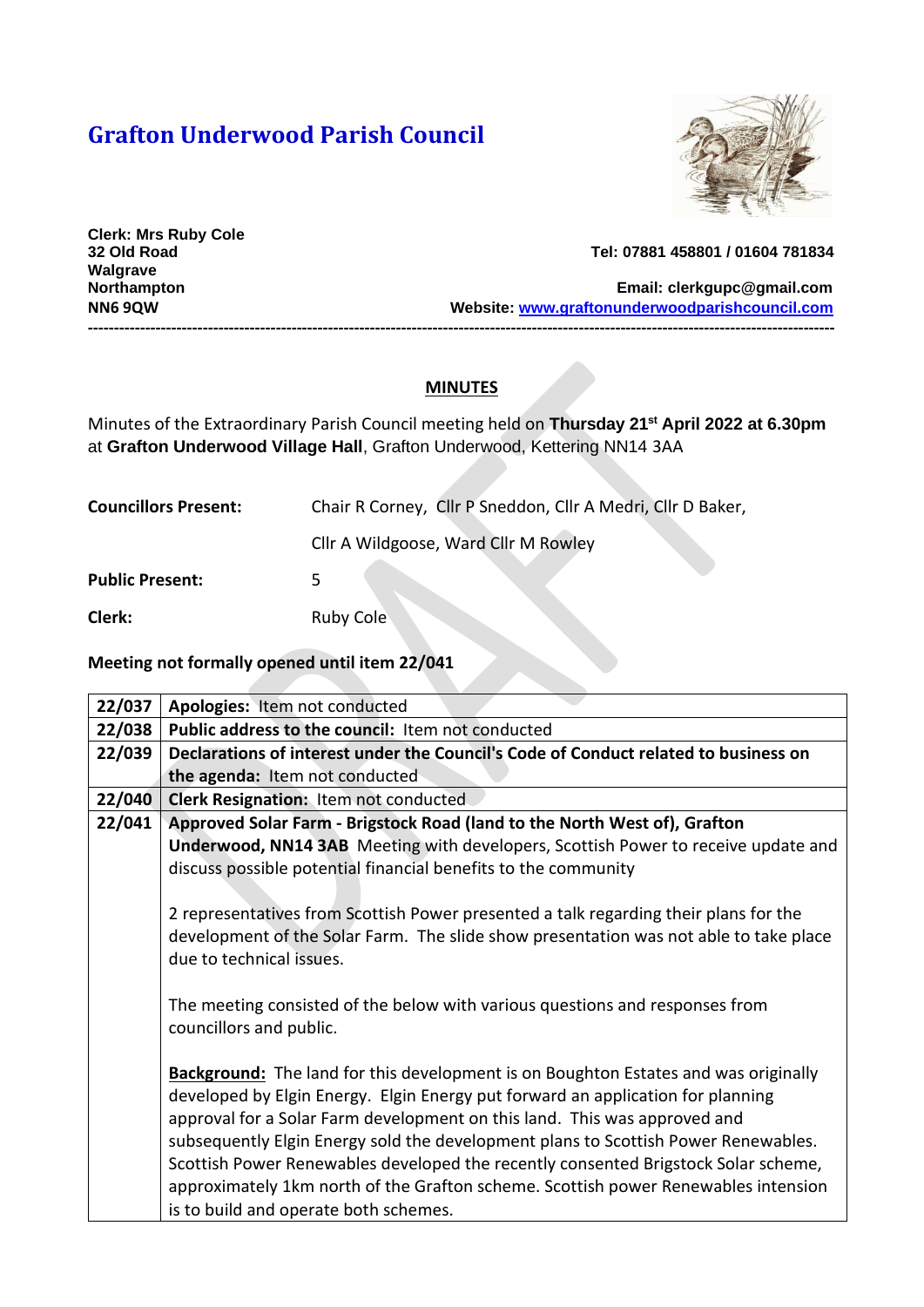## **Grafton Underwood Parish Council**



**Clerk: Mrs Ruby Cole Walgrave** 

**32 Old Road Tel: 07881 458801 / 01604 781834**

**Northampton Email: [clerkgupc@gmail.com](mailto:clerkgupc@gmail.com) NN6 9QW Website: [www.graftonunderwoodparishcouncil.com](http://www.graftonunderwoodparishcouncil.com/) -----------------------------------------------------------------------------------------------------------------------------------------------**

## **MINUTES**

Minutes of the Extraordinary Parish Council meeting held on **Thursday 21st April 2022 at 6.30pm** at **Grafton Underwood Village Hall**, Grafton Underwood, Kettering NN14 3AA

| <b>Councillors Present:</b> | Chair R Corney, Cllr P Sneddon, Cllr A Medri, Cllr D Baker, |
|-----------------------------|-------------------------------------------------------------|
|                             | Cllr A Wildgoose, Ward Cllr M Rowley                        |
| <b>Public Present:</b>      |                                                             |
| Clerk:                      | <b>Ruby Cole</b>                                            |

**Meeting not formally opened until item 22/041**

| 22/037 | Apologies: Item not conducted                                                              |
|--------|--------------------------------------------------------------------------------------------|
| 22/038 | Public address to the council: Item not conducted                                          |
| 22/039 | Declarations of interest under the Council's Code of Conduct related to business on        |
|        | the agenda: Item not conducted                                                             |
| 22/040 | <b>Clerk Resignation: Item not conducted</b>                                               |
| 22/041 | Approved Solar Farm - Brigstock Road (land to the North West of), Grafton                  |
|        | Underwood, NN14 3AB Meeting with developers, Scottish Power to receive update and          |
|        | discuss possible potential financial benefits to the community                             |
|        |                                                                                            |
|        | 2 representatives from Scottish Power presented a talk regarding their plans for the       |
|        | development of the Solar Farm. The slide show presentation was not able to take place      |
|        | due to technical issues.                                                                   |
|        |                                                                                            |
|        | The meeting consisted of the below with various questions and responses from               |
|        | councillors and public.                                                                    |
|        |                                                                                            |
|        | <b>Background:</b> The land for this development is on Boughton Estates and was originally |
|        | developed by Elgin Energy. Elgin Energy put forward an application for planning            |
|        | approval for a Solar Farm development on this land. This was approved and                  |
|        | subsequently Elgin Energy sold the development plans to Scottish Power Renewables.         |
|        | Scottish Power Renewables developed the recently consented Brigstock Solar scheme,         |
|        | approximately 1km north of the Grafton scheme. Scottish power Renewables intension         |
|        | is to build and operate both schemes.                                                      |